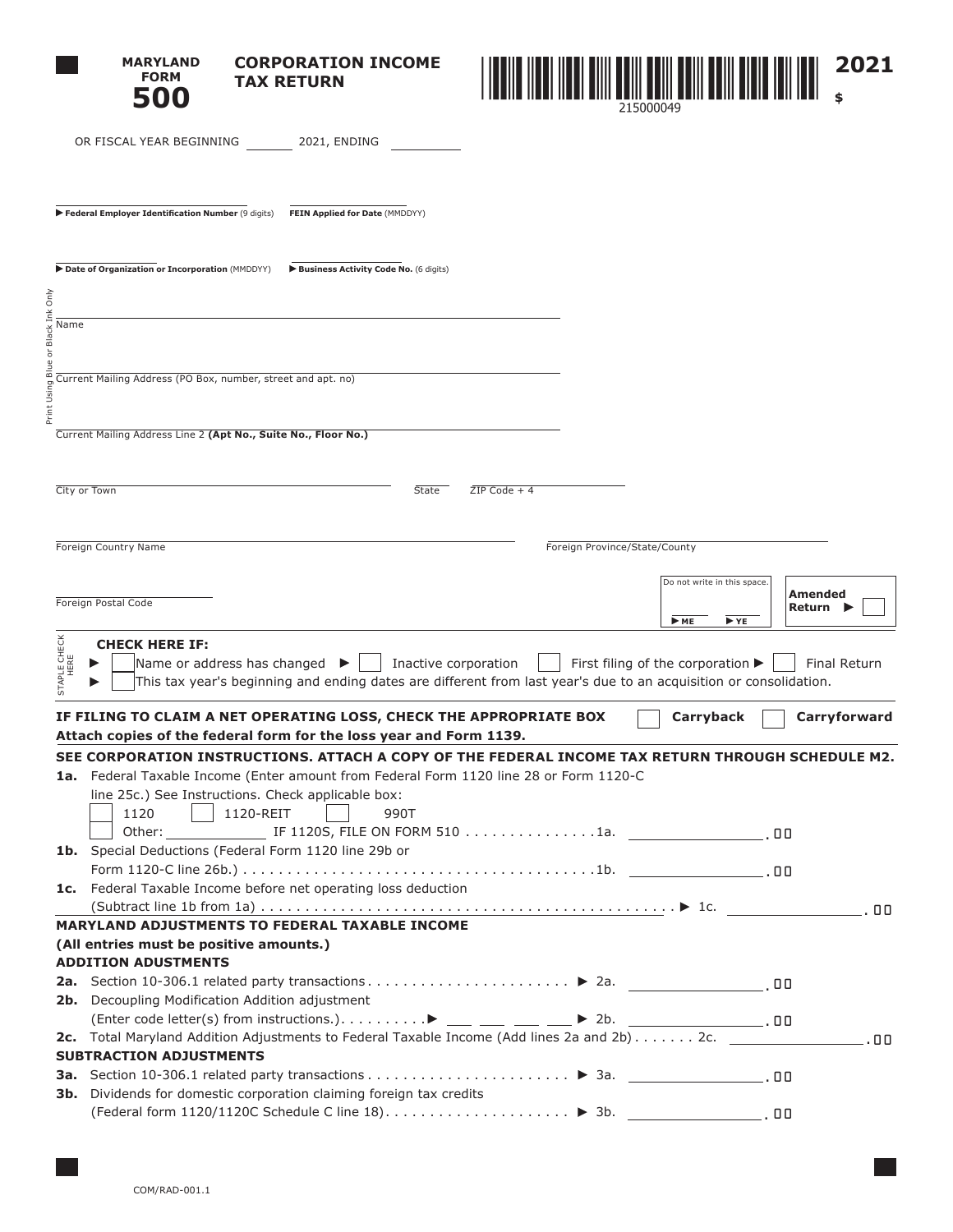|                                   | <b>MARYLAND</b><br><b>CORPORATION INCOME</b><br><b>FORM</b><br><b>TAX RETURN</b><br>500                                                                                |                               | 2021                                                     |
|-----------------------------------|------------------------------------------------------------------------------------------------------------------------------------------------------------------------|-------------------------------|----------------------------------------------------------|
|                                   | OR FISCAL YEAR BEGINNING<br>2021, ENDING                                                                                                                               |                               |                                                          |
|                                   | Federal Employer Identification Number (9 digits)<br>FEIN Applied for Date (MMDDYY)                                                                                    |                               |                                                          |
|                                   | Date of Organization or Incorporation (MMDDYY)<br>Business Activity Code No. (6 digits)                                                                                |                               |                                                          |
| Ink Only                          |                                                                                                                                                                        |                               |                                                          |
| Name<br>or Black                  |                                                                                                                                                                        |                               |                                                          |
| ∞<br>Print Using                  | Current Mailing Address (PO Box, number, street and apt. no)                                                                                                           |                               |                                                          |
|                                   | Current Mailing Address Line 2 (Apt No., Suite No., Floor No.)                                                                                                         |                               |                                                          |
|                                   |                                                                                                                                                                        |                               |                                                          |
|                                   |                                                                                                                                                                        | $ZIP Code + 4$                |                                                          |
|                                   | City or Town                                                                                                                                                           | State                         |                                                          |
|                                   |                                                                                                                                                                        |                               |                                                          |
|                                   | Foreign Country Name                                                                                                                                                   | Foreign Province/State/County |                                                          |
|                                   |                                                                                                                                                                        |                               | Do not write in this space.                              |
|                                   | Foreign Postal Code                                                                                                                                                    |                               | Amended                                                  |
|                                   |                                                                                                                                                                        |                               | Return<br>$ightharpoonup$ ME<br>$\blacktriangleright$ YE |
|                                   | <b>CHECK HERE IF:</b>                                                                                                                                                  |                               |                                                          |
| <b>STAPLE CHECK</b><br>HERE<br>in | Name or address has changed $\blacktriangleright$<br>This tax year's beginning and ending dates are different from last year's due to an acquisition or consolidation. | Inactive corporation          | First filing of the corporation ><br>Final Return        |
|                                   | IF FILING TO CLAIM A NET OPERATING LOSS, CHECK THE APPROPRIATE BOX                                                                                                     |                               | Carryforward<br>Carryback                                |
|                                   | Attach copies of the federal form for the loss year and Form 1139.                                                                                                     |                               |                                                          |
|                                   | SEE CORPORATION INSTRUCTIONS. ATTACH A COPY OF THE FEDERAL INCOME TAX RETURN THROUGH SCHEDULE M2.                                                                      |                               |                                                          |
|                                   | 1a. Federal Taxable Income (Enter amount from Federal Form 1120 line 28 or Form 1120-C                                                                                 |                               |                                                          |
|                                   | line 25c.) See Instructions. Check applicable box:                                                                                                                     |                               |                                                          |
|                                   | 1120<br>  1120-REIT<br>990T                                                                                                                                            |                               |                                                          |
|                                   | 1b. Special Deductions (Federal Form 1120 line 29b or                                                                                                                  |                               |                                                          |
|                                   |                                                                                                                                                                        |                               |                                                          |
|                                   | 1c. Federal Taxable Income before net operating loss deduction                                                                                                         |                               |                                                          |
|                                   |                                                                                                                                                                        |                               |                                                          |
|                                   | MARYLAND ADJUSTMENTS TO FEDERAL TAXABLE INCOME                                                                                                                         |                               |                                                          |
|                                   | (All entries must be positive amounts.)                                                                                                                                |                               |                                                          |
|                                   | <b>ADDITION ADUSTMENTS</b>                                                                                                                                             |                               |                                                          |
|                                   |                                                                                                                                                                        |                               |                                                          |
|                                   | 2b. Decoupling Modification Addition adjustment                                                                                                                        |                               |                                                          |
|                                   |                                                                                                                                                                        |                               |                                                          |
|                                   | <b>SUBTRACTION ADJUSTMENTS</b>                                                                                                                                         |                               |                                                          |
|                                   |                                                                                                                                                                        |                               |                                                          |
|                                   | 3b. Dividends for domestic corporation claiming foreign tax credits                                                                                                    |                               |                                                          |
|                                   |                                                                                                                                                                        |                               |                                                          |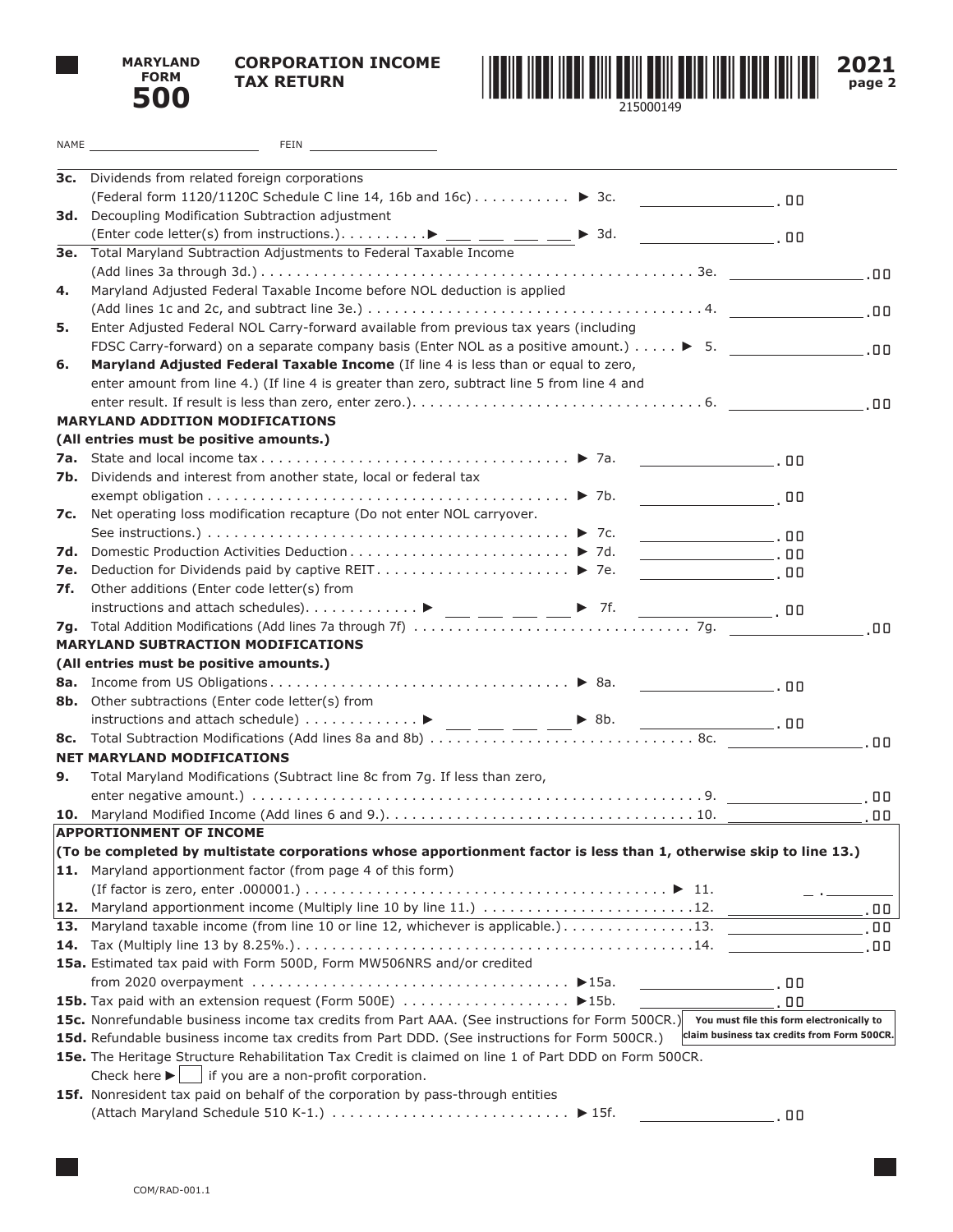



**2021 page 2**

|     | NAME And the state of the state of the state of the state of the state of the state of the state of the state of the state of the state of the state of the state of the state of the state of the state of the state of the s<br>FEIN AND THE REAL PROPERTY OF THE REAL PROPERTY. |                                             |    |
|-----|------------------------------------------------------------------------------------------------------------------------------------------------------------------------------------------------------------------------------------------------------------------------------------|---------------------------------------------|----|
|     | 3c. Dividends from related foreign corporations                                                                                                                                                                                                                                    |                                             |    |
|     | (Federal form 1120/1120C Schedule C line 14, 16b and 16c) $\dots \dots \dots$ > 3c.                                                                                                                                                                                                |                                             |    |
|     | 3d. Decoupling Modification Subtraction adjustment                                                                                                                                                                                                                                 |                                             |    |
|     |                                                                                                                                                                                                                                                                                    |                                             |    |
|     | 3e. Total Maryland Subtraction Adjustments to Federal Taxable Income                                                                                                                                                                                                               |                                             |    |
|     |                                                                                                                                                                                                                                                                                    |                                             |    |
| 4.  | Maryland Adjusted Federal Taxable Income before NOL deduction is applied                                                                                                                                                                                                           |                                             |    |
|     |                                                                                                                                                                                                                                                                                    |                                             |    |
| 5.  | Enter Adjusted Federal NOL Carry-forward available from previous tax years (including                                                                                                                                                                                              |                                             |    |
|     | FDSC Carry-forward) on a separate company basis (Enter NOL as a positive amount.) $\ldots \rightarrow 5$ .                                                                                                                                                                         |                                             |    |
| 6.  | Maryland Adjusted Federal Taxable Income (If line 4 is less than or equal to zero,                                                                                                                                                                                                 |                                             |    |
|     | enter amount from line 4.) (If line 4 is greater than zero, subtract line 5 from line 4 and                                                                                                                                                                                        |                                             |    |
|     |                                                                                                                                                                                                                                                                                    |                                             |    |
|     | <b>MARYLAND ADDITION MODIFICATIONS</b>                                                                                                                                                                                                                                             |                                             |    |
|     | (All entries must be positive amounts.)                                                                                                                                                                                                                                            |                                             |    |
|     |                                                                                                                                                                                                                                                                                    |                                             |    |
|     | 7b. Dividends and interest from another state, local or federal tax                                                                                                                                                                                                                |                                             |    |
|     | $\overline{\phantom{a}}$ , 00 $\overline{\phantom{a}}$                                                                                                                                                                                                                             |                                             |    |
|     | 7c. Net operating loss modification recapture (Do not enter NOL carryover.                                                                                                                                                                                                         |                                             |    |
|     |                                                                                                                                                                                                                                                                                    |                                             |    |
|     | 7d. Domestic Production Activities Deduction ▶ 7d.<br>$\overline{\phantom{iiiiiiiiiiiiiiiiiiiiiiiiiiiiiiiiiiiiii}}$ . 00                                                                                                                                                           |                                             |    |
|     |                                                                                                                                                                                                                                                                                    |                                             |    |
| 7f. | Other additions (Enter code letter(s) from                                                                                                                                                                                                                                         |                                             |    |
|     | instructions and attach schedules) $\blacktriangleright$ __ _ _ _ _ _ _ _ _ _ _ 7f.<br>$\overline{\phantom{a}}$ , 00                                                                                                                                                               |                                             |    |
|     |                                                                                                                                                                                                                                                                                    |                                             |    |
|     | <b>MARYLAND SUBTRACTION MODIFICATIONS</b>                                                                                                                                                                                                                                          |                                             |    |
|     | (All entries must be positive amounts.)                                                                                                                                                                                                                                            |                                             |    |
|     |                                                                                                                                                                                                                                                                                    |                                             |    |
|     | 8b. Other subtractions (Enter code letter(s) from                                                                                                                                                                                                                                  |                                             |    |
|     |                                                                                                                                                                                                                                                                                    |                                             |    |
|     |                                                                                                                                                                                                                                                                                    |                                             |    |
|     | <b>NET MARYLAND MODIFICATIONS</b>                                                                                                                                                                                                                                                  |                                             |    |
| 9.  | Total Maryland Modifications (Subtract line 8c from 7g. If less than zero,                                                                                                                                                                                                         |                                             |    |
|     |                                                                                                                                                                                                                                                                                    |                                             | 00 |
|     |                                                                                                                                                                                                                                                                                    |                                             |    |
|     | APPORTIONMENT OF INCOME                                                                                                                                                                                                                                                            |                                             |    |
|     | (To be completed by multistate corporations whose apportionment factor is less than 1, otherwise skip to line 13.)                                                                                                                                                                 |                                             |    |
|     | 11. Maryland apportionment factor (from page 4 of this form)                                                                                                                                                                                                                       |                                             |    |
|     |                                                                                                                                                                                                                                                                                    |                                             |    |
|     | 12. Maryland apportionment income (Multiply line 10 by line 11.) 12.                                                                                                                                                                                                               |                                             |    |
|     |                                                                                                                                                                                                                                                                                    |                                             |    |
|     |                                                                                                                                                                                                                                                                                    |                                             |    |
|     | 15a. Estimated tax paid with Form 500D, Form MW506NRS and/or credited                                                                                                                                                                                                              |                                             |    |
|     | from 2020 overpayment $\dots\dots\dots\dots\dots\dots\dots\dots\dots\dots\dots\dots$<br>$\overline{a}$ , and $\overline{a}$ , and $\overline{a}$ , and $\overline{a}$                                                                                                              |                                             |    |
|     |                                                                                                                                                                                                                                                                                    | . 00                                        |    |
|     | 15c. Nonrefundable business income tax credits from Part AAA. (See instructions for Form 500CR.) You must file this form electronically to                                                                                                                                         |                                             |    |
|     | 15d. Refundable business income tax credits from Part DDD. (See instructions for Form 500CR.)                                                                                                                                                                                      | claim business tax credits from Form 500CR. |    |
|     | 15e. The Heritage Structure Rehabilitation Tax Credit is claimed on line 1 of Part DDD on Form 500CR.                                                                                                                                                                              |                                             |    |
|     | Check here $\blacktriangleright$   if you are a non-profit corporation.                                                                                                                                                                                                            |                                             |    |
|     | 15f. Nonresident tax paid on behalf of the corporation by pass-through entities                                                                                                                                                                                                    |                                             |    |
|     |                                                                                                                                                                                                                                                                                    | 00                                          |    |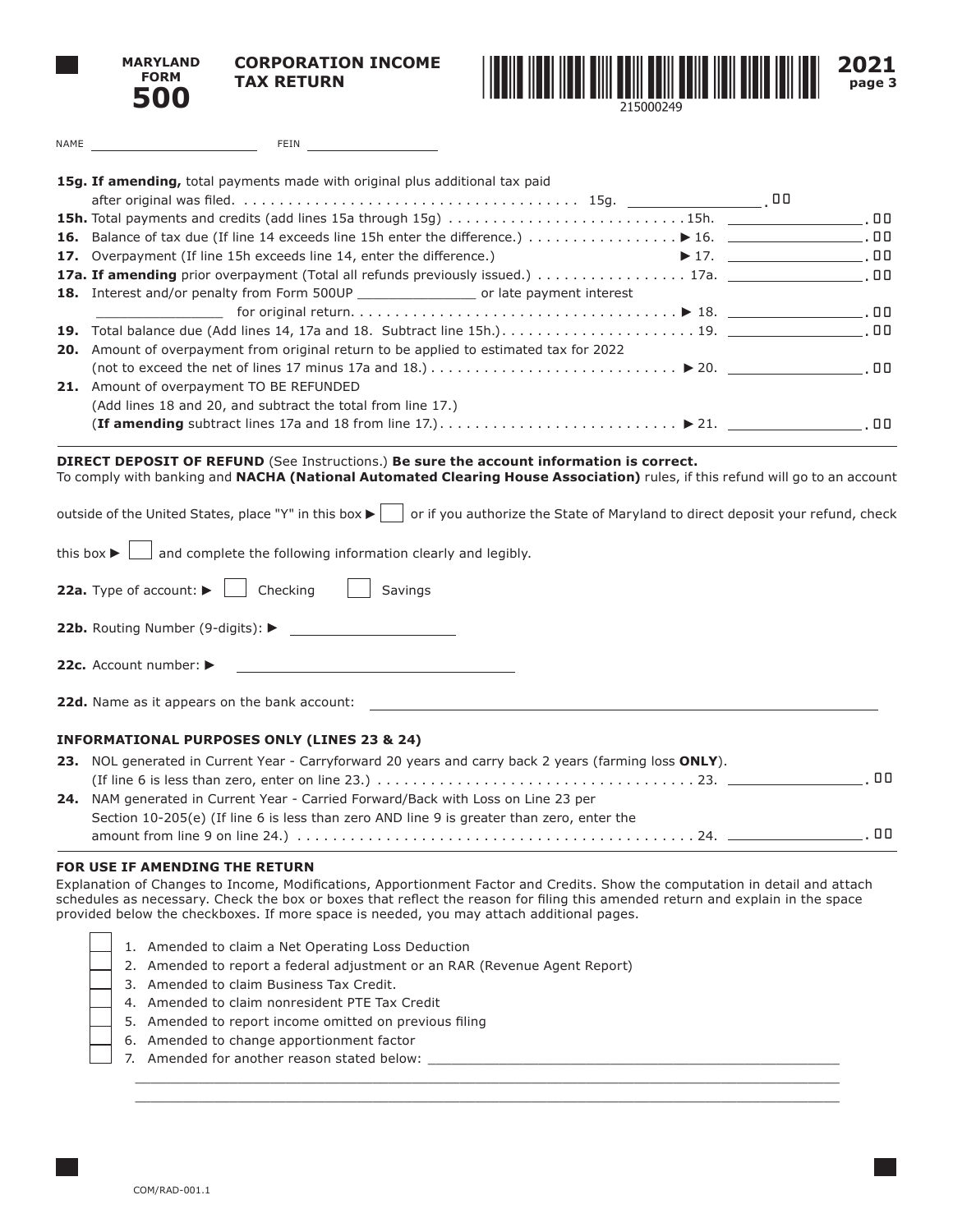**MARYLAND FORM 500**

**CORPORATION INCOME TAX RETURN**



| FEIN AND THE REAL PROPERTY OF THE REAL PROPERTY.<br>NAME AND A RESIDENCE OF A RESIDENCE OF A RESIDENCE OF A RESIDENCE OF A RESIDENCE OF A RESIDENCE OF A RESIDENCE                                                                                                                                                                                                        |  |
|---------------------------------------------------------------------------------------------------------------------------------------------------------------------------------------------------------------------------------------------------------------------------------------------------------------------------------------------------------------------------|--|
| 15g. If amending, total payments made with original plus additional tax paid                                                                                                                                                                                                                                                                                              |  |
|                                                                                                                                                                                                                                                                                                                                                                           |  |
| 15h. Total payments and credits (add lines 15a through 15g) 15h. _______________________.00                                                                                                                                                                                                                                                                               |  |
|                                                                                                                                                                                                                                                                                                                                                                           |  |
| 17. Overpayment (If line 15h exceeds line 14, enter the difference.)                                                                                                                                                                                                                                                                                                      |  |
|                                                                                                                                                                                                                                                                                                                                                                           |  |
| 18. Interest and/or penalty from Form 500UP _____________________ or late payment interest                                                                                                                                                                                                                                                                                |  |
|                                                                                                                                                                                                                                                                                                                                                                           |  |
|                                                                                                                                                                                                                                                                                                                                                                           |  |
| 20. Amount of overpayment from original return to be applied to estimated tax for 2022                                                                                                                                                                                                                                                                                    |  |
|                                                                                                                                                                                                                                                                                                                                                                           |  |
| 21. Amount of overpayment TO BE REFUNDED                                                                                                                                                                                                                                                                                                                                  |  |
| (Add lines 18 and 20, and subtract the total from line 17.)                                                                                                                                                                                                                                                                                                               |  |
|                                                                                                                                                                                                                                                                                                                                                                           |  |
| To comply with banking and NACHA (National Automated Clearing House Association) rules, if this refund will go to an account<br>outside of the United States, place "Y" in this box ▶     or if you authorize the State of Maryland to direct deposit your refund, check<br>and complete the following information clearly and legibly.<br>this box $\blacktriangleright$ |  |
| 22a. Type of account:<br>Checking<br>Savings                                                                                                                                                                                                                                                                                                                              |  |
| <b>22b.</b> Routing Number (9-digits): $\blacktriangleright$                                                                                                                                                                                                                                                                                                              |  |
| 22c. Account number:<br><u> 1989 - Andrea Andrew Maria (h. 1989).</u>                                                                                                                                                                                                                                                                                                     |  |
| <b>22d.</b> Name as it appears on the bank account:                                                                                                                                                                                                                                                                                                                       |  |
| <b>INFORMATIONAL PURPOSES ONLY (LINES 23 &amp; 24)</b>                                                                                                                                                                                                                                                                                                                    |  |
|                                                                                                                                                                                                                                                                                                                                                                           |  |

| 23. NOL generated in Current Year - Carryforward 20 years and carry back 2 years (farming loss ONLY). |       |
|-------------------------------------------------------------------------------------------------------|-------|
|                                                                                                       | . 00. |
| <b>24.</b> NAM generated in Current Year - Carried Forward/Back with Loss on Line 23 per              |       |
| Section 10-205(e) (If line 6 is less than zero AND line 9 is greater than zero, enter the             |       |
|                                                                                                       | n n   |

## **FOR USE IF AMENDING THE RETURN**

Explanation of Changes to Income, Modifications, Apportionment Factor and Credits. Show the computation in detail and attach schedules as necessary. Check the box or boxes that reflect the reason for filing this amended return and explain in the space provided below the checkboxes. If more space is needed, you may attach additional pages.

 $\mathcal{L}_\mathcal{L} = \mathcal{L}_\mathcal{L} = \mathcal{L}_\mathcal{L} = \mathcal{L}_\mathcal{L} = \mathcal{L}_\mathcal{L} = \mathcal{L}_\mathcal{L} = \mathcal{L}_\mathcal{L} = \mathcal{L}_\mathcal{L} = \mathcal{L}_\mathcal{L} = \mathcal{L}_\mathcal{L} = \mathcal{L}_\mathcal{L} = \mathcal{L}_\mathcal{L} = \mathcal{L}_\mathcal{L} = \mathcal{L}_\mathcal{L} = \mathcal{L}_\mathcal{L} = \mathcal{L}_\mathcal{L} = \mathcal{L}_\mathcal{L}$  $\mathcal{L}_\mathcal{L} = \mathcal{L}_\mathcal{L} = \mathcal{L}_\mathcal{L} = \mathcal{L}_\mathcal{L} = \mathcal{L}_\mathcal{L} = \mathcal{L}_\mathcal{L} = \mathcal{L}_\mathcal{L} = \mathcal{L}_\mathcal{L} = \mathcal{L}_\mathcal{L} = \mathcal{L}_\mathcal{L} = \mathcal{L}_\mathcal{L} = \mathcal{L}_\mathcal{L} = \mathcal{L}_\mathcal{L} = \mathcal{L}_\mathcal{L} = \mathcal{L}_\mathcal{L} = \mathcal{L}_\mathcal{L} = \mathcal{L}_\mathcal{L}$ 

|  | 1                        |
|--|--------------------------|
|  | 2                        |
|  | :                        |
|  | Z                        |
|  | ŗ                        |
|  | $\epsilon$               |
|  | $\overline{\phantom{a}}$ |

| 1. Amended to claim a Net Operating Loss Deduction |  |
|----------------------------------------------------|--|
|----------------------------------------------------|--|

- 2. Amended to report a federal adjustment or an RAR (Revenue Agent Report)
- 3. Amended to claim Business Tax Credit.
- 4. Amended to claim nonresident PTE Tax Credit
- 5. Amended to report income omitted on previous filing
- 6. Amended to change apportionment factor
- 7. Amended for another reason stated below: \_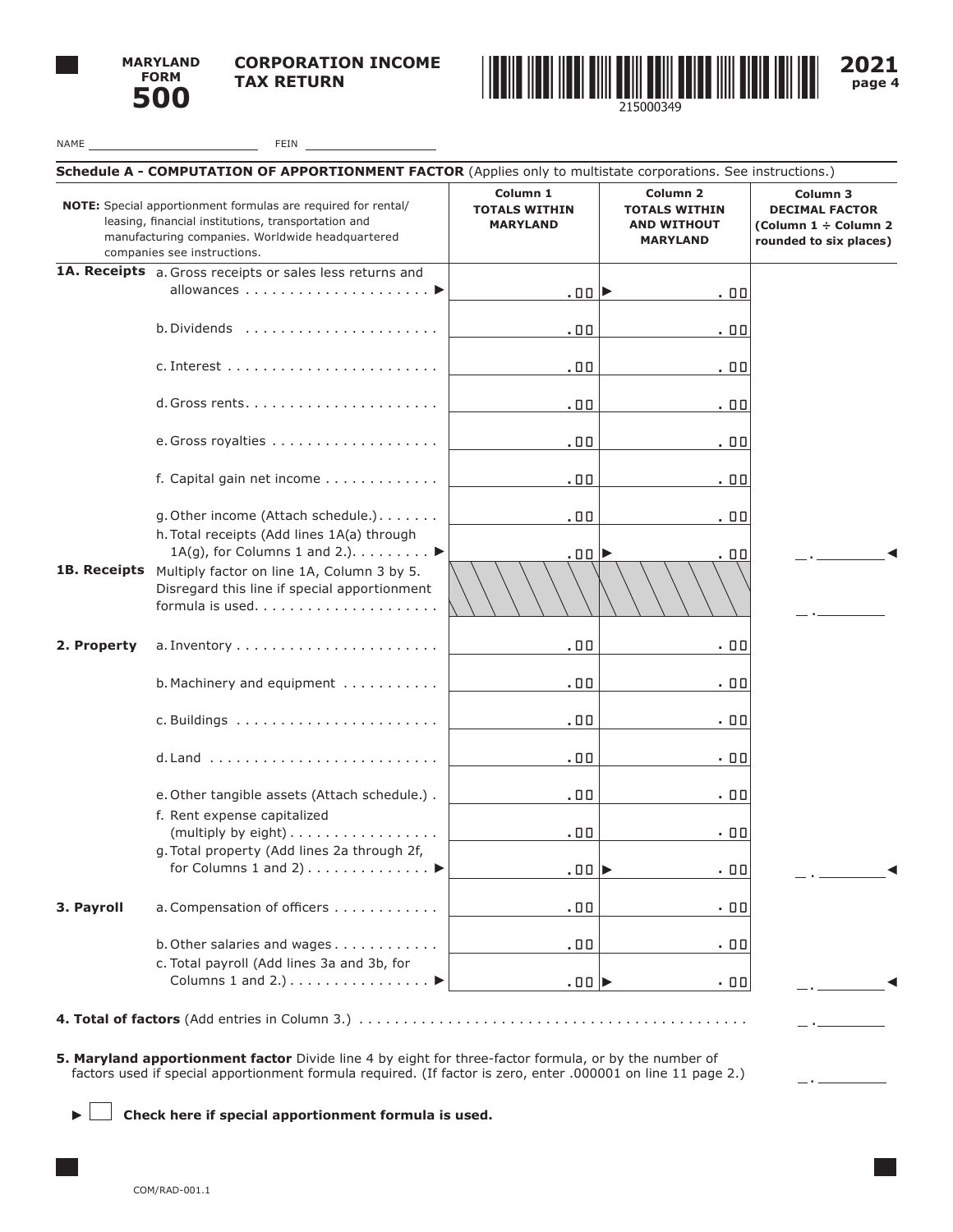

 $\label{eq:2} \frac{1}{\sqrt{2}}\left(\frac{1}{\sqrt{2}}\right)^{2} \left(\frac{1}{\sqrt{2}}\right)^{2} \left(\frac{1}{\sqrt{2}}\right)^{2} \left(\frac{1}{\sqrt{2}}\right)^{2} \left(\frac{1}{\sqrt{2}}\right)^{2} \left(\frac{1}{\sqrt{2}}\right)^{2} \left(\frac{1}{\sqrt{2}}\right)^{2} \left(\frac{1}{\sqrt{2}}\right)^{2} \left(\frac{1}{\sqrt{2}}\right)^{2} \left(\frac{1}{\sqrt{2}}\right)^{2} \left(\frac{1}{\sqrt{2}}\right)^{2} \left(\frac{$ 



**2021 page 4**

 $-$ 

NAME FEIN

| Schedule A - COMPUTATION OF APPORTIONMENT FACTOR (Applies only to multistate corporations. See instructions.)                                                                                           |                                                                                                                                                                                                                        |                                                     |                                                                                      |                                                                                     |
|---------------------------------------------------------------------------------------------------------------------------------------------------------------------------------------------------------|------------------------------------------------------------------------------------------------------------------------------------------------------------------------------------------------------------------------|-----------------------------------------------------|--------------------------------------------------------------------------------------|-------------------------------------------------------------------------------------|
| NOTE: Special apportionment formulas are required for rental/<br>leasing, financial institutions, transportation and<br>manufacturing companies. Worldwide headquartered<br>companies see instructions. |                                                                                                                                                                                                                        | Column 1<br><b>TOTALS WITHIN</b><br><b>MARYLAND</b> | Column <sub>2</sub><br><b>TOTALS WITHIN</b><br><b>AND WITHOUT</b><br><b>MARYLAND</b> | Column 3<br><b>DECIMAL FACTOR</b><br>(Column 1 ÷ Column 2<br>rounded to six places) |
|                                                                                                                                                                                                         | 1A. Receipts a. Gross receipts or sales less returns and                                                                                                                                                               |                                                     |                                                                                      |                                                                                     |
|                                                                                                                                                                                                         |                                                                                                                                                                                                                        | .oo▶                                                | .00                                                                                  |                                                                                     |
|                                                                                                                                                                                                         |                                                                                                                                                                                                                        |                                                     |                                                                                      |                                                                                     |
|                                                                                                                                                                                                         | $b. Dividends$                                                                                                                                                                                                         | .00                                                 | . 00                                                                                 |                                                                                     |
|                                                                                                                                                                                                         |                                                                                                                                                                                                                        |                                                     |                                                                                      |                                                                                     |
|                                                                                                                                                                                                         |                                                                                                                                                                                                                        | .00                                                 | . 00                                                                                 |                                                                                     |
|                                                                                                                                                                                                         |                                                                                                                                                                                                                        |                                                     |                                                                                      |                                                                                     |
|                                                                                                                                                                                                         |                                                                                                                                                                                                                        | .00                                                 | . 00                                                                                 |                                                                                     |
|                                                                                                                                                                                                         |                                                                                                                                                                                                                        |                                                     |                                                                                      |                                                                                     |
|                                                                                                                                                                                                         |                                                                                                                                                                                                                        | .00                                                 | . 00                                                                                 |                                                                                     |
|                                                                                                                                                                                                         |                                                                                                                                                                                                                        |                                                     |                                                                                      |                                                                                     |
|                                                                                                                                                                                                         | f. Capital gain net income                                                                                                                                                                                             | .00                                                 | . 00                                                                                 |                                                                                     |
|                                                                                                                                                                                                         | g. Other income (Attach schedule.).                                                                                                                                                                                    | .00                                                 |                                                                                      |                                                                                     |
|                                                                                                                                                                                                         | h. Total receipts (Add lines 1A(a) through                                                                                                                                                                             |                                                     | . 00                                                                                 |                                                                                     |
|                                                                                                                                                                                                         | 1A(g), for Columns 1 and 2.). $\dots \dots$                                                                                                                                                                            | .oo⊫                                                | .00                                                                                  |                                                                                     |
| 1B. Receipts                                                                                                                                                                                            | Multiply factor on line 1A, Column 3 by 5.                                                                                                                                                                             |                                                     |                                                                                      |                                                                                     |
|                                                                                                                                                                                                         | Disregard this line if special apportionment                                                                                                                                                                           |                                                     |                                                                                      |                                                                                     |
|                                                                                                                                                                                                         |                                                                                                                                                                                                                        |                                                     |                                                                                      |                                                                                     |
|                                                                                                                                                                                                         |                                                                                                                                                                                                                        |                                                     |                                                                                      |                                                                                     |
| 2. Property                                                                                                                                                                                             |                                                                                                                                                                                                                        | .00                                                 | .00                                                                                  |                                                                                     |
|                                                                                                                                                                                                         |                                                                                                                                                                                                                        |                                                     |                                                                                      |                                                                                     |
|                                                                                                                                                                                                         | b. Machinery and equipment                                                                                                                                                                                             | .00                                                 | .00                                                                                  |                                                                                     |
|                                                                                                                                                                                                         |                                                                                                                                                                                                                        |                                                     |                                                                                      |                                                                                     |
|                                                                                                                                                                                                         |                                                                                                                                                                                                                        | .00                                                 | . 00                                                                                 |                                                                                     |
|                                                                                                                                                                                                         |                                                                                                                                                                                                                        |                                                     |                                                                                      |                                                                                     |
|                                                                                                                                                                                                         |                                                                                                                                                                                                                        | .00                                                 | . 00                                                                                 |                                                                                     |
|                                                                                                                                                                                                         | e. Other tangible assets (Attach schedule.) .                                                                                                                                                                          | .00                                                 | .00                                                                                  |                                                                                     |
|                                                                                                                                                                                                         | f. Rent expense capitalized                                                                                                                                                                                            |                                                     |                                                                                      |                                                                                     |
|                                                                                                                                                                                                         | (multiply by eight) $\dots \dots \dots \dots \dots$                                                                                                                                                                    | .00                                                 | . 00                                                                                 |                                                                                     |
|                                                                                                                                                                                                         | g. Total property (Add lines 2a through 2f,                                                                                                                                                                            |                                                     |                                                                                      |                                                                                     |
|                                                                                                                                                                                                         | for Columns 1 and 2) $\dots$ $\blacktriangleright$                                                                                                                                                                     | $.00$ $\blacktriangleright$                         | - 00                                                                                 |                                                                                     |
|                                                                                                                                                                                                         |                                                                                                                                                                                                                        |                                                     |                                                                                      |                                                                                     |
| 3. Payroll                                                                                                                                                                                              | a. Compensation of officers                                                                                                                                                                                            | .00                                                 | . 00                                                                                 |                                                                                     |
|                                                                                                                                                                                                         |                                                                                                                                                                                                                        |                                                     |                                                                                      |                                                                                     |
|                                                                                                                                                                                                         | b. Other salaries and wages                                                                                                                                                                                            | .00                                                 | . 00                                                                                 |                                                                                     |
|                                                                                                                                                                                                         | c. Total payroll (Add lines 3a and 3b, for                                                                                                                                                                             |                                                     |                                                                                      |                                                                                     |
|                                                                                                                                                                                                         | Columns 1 and 2.) $\dots \dots \dots \dots \dots$                                                                                                                                                                      | .00                                                 | . 00                                                                                 |                                                                                     |
|                                                                                                                                                                                                         |                                                                                                                                                                                                                        |                                                     |                                                                                      |                                                                                     |
|                                                                                                                                                                                                         |                                                                                                                                                                                                                        |                                                     |                                                                                      |                                                                                     |
|                                                                                                                                                                                                         |                                                                                                                                                                                                                        |                                                     |                                                                                      |                                                                                     |
|                                                                                                                                                                                                         | 5. Maryland apportionment factor Divide line 4 by eight for three-factor formula, or by the number of<br>factors used if special apportionment formula required. (If factor is zero, enter .000001 on line 11 page 2.) |                                                     |                                                                                      |                                                                                     |
|                                                                                                                                                                                                         |                                                                                                                                                                                                                        |                                                     |                                                                                      |                                                                                     |

 **Check here if special apportionment formula is used.**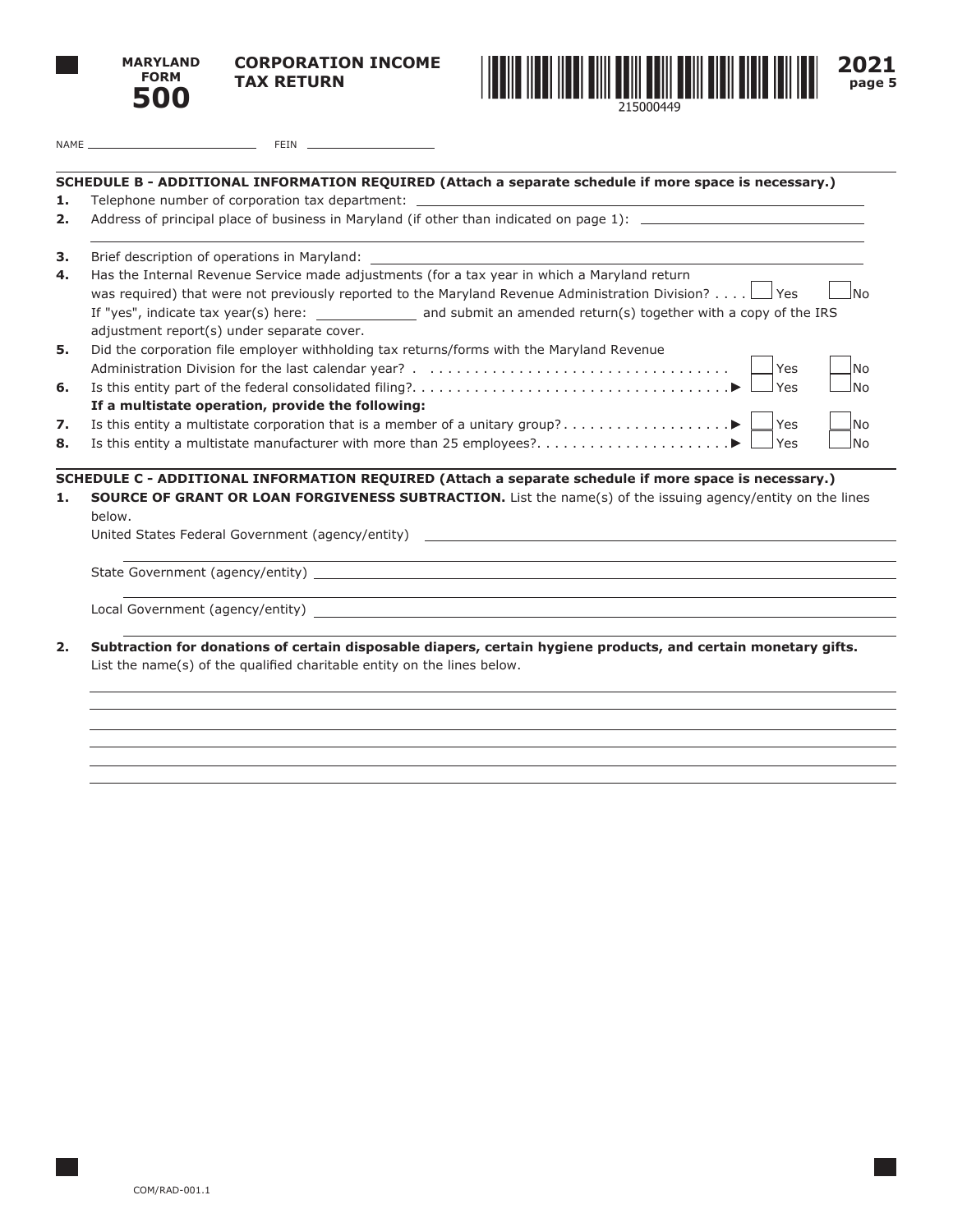



**2021 page 5**

| NAME | $T$ $T$ $N$<br>ΞIJΝ |  |
|------|---------------------|--|
|      |                     |  |

## **SCHEDULE B - ADDITIONAL INFORMATION REQUIRED (Attach a separate schedule if more space is necessary.) 1.** Telephone number of corporation tax department: **2.** Address of principal place of business in Maryland (if other than indicated on page 1): \_\_\_\_\_\_\_\_\_\_ **3.** Brief description of operations in Maryland: **4.** Has the Internal Revenue Service made adjustments (for a tax year in which a Maryland return was required) that were not previously reported to the Maryland Revenue Administration Division? . . .  $\Box$  Yes  $\Box$  No If "yes", indicate tax year(s) here: \_\_\_\_\_\_\_\_\_\_\_\_\_\_\_\_ and submit an amended return(s) together with a copy of the IRS adjustment report(s) under separate cover. **5.** Did the corporation file employer withholding tax returns/forms with the Maryland Revenue Administration Division for the last calendar year?. .. . Yes No **6.** Is this entity part of the federal consolidated filing?. . . . . . . . . . . . . . . . . . . . . . . . . . . . . . . . . . . . Yes No **If a multistate operation, provide the following: 7.** Is this entity a multistate corporation that is a member of a unitary group?. . Yes No **8.** Is this entity a multistate manufacturer with more than 25 employees?.  $\ldots$ .  $\ldots$ .  $\ldots$ .  $\ldots$ .  $\blacktriangleright \Box$  Yes  $\Box$  No **SCHEDULE C - ADDITIONAL INFORMATION REQUIRED (Attach a separate schedule if more space is necessary.) 1. SOURCE OF GRANT OR LOAN FORGIVENESS SUBTRACTION.** List the name(s) of the issuing agency/entity on the lines below. United States Federal Government (agency/entity) State Government (agency/entity) Local Government (agency/entity) **2. Subtraction for donations of certain disposable diapers, certain hygiene products, and certain monetary gifts.** List the name(s) of the qualified charitable entity on the lines below.